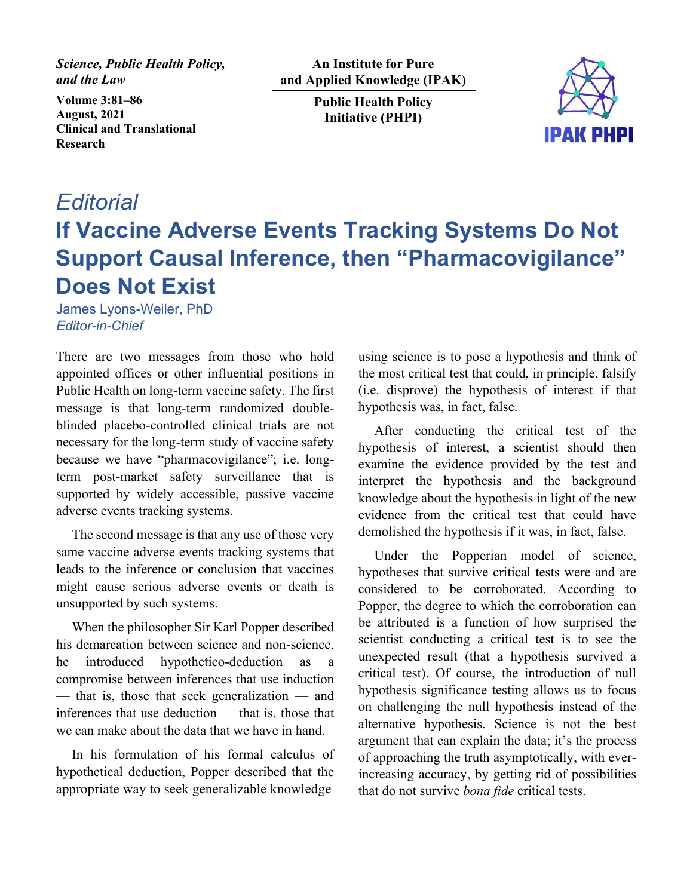*Science, Public Health Policy, and the Law*

**Volume 3:81–86 August, 2021 Clinical and Translational Research**

**An Institute for Pure and Applied Knowledge (IPAK)** 

> **Public Health Policy Initiative (PHPI)**



## *Editorial* **If Vaccine Adverse Events Tracking Systems Do Not Support Causal Inference, then "Pharmacovigilance" Does Not Exist**

James Lyons-Weiler, PhD *Editor-in-Chief*

There are two messages from those who hold appointed offices or other influential positions in Public Health on long-term vaccine safety. The first message is that long-term randomized doubleblinded placebo-controlled clinical trials are not necessary for the long-term study of vaccine safety because we have "pharmacovigilance"; i.e. longterm post-market safety surveillance that is supported by widely accessible, passive vaccine adverse events tracking systems.

The second message is that any use of those very same vaccine adverse events tracking systems that leads to the inference or conclusion that vaccines might cause serious adverse events or death is unsupported by such systems.

When the philosopher Sir Karl Popper described his demarcation between science and non-science, he introduced hypothetico-deduction as a compromise between inferences that use induction — that is, those that seek generalization — and inferences that use deduction — that is, those that we can make about the data that we have in hand.

In his formulation of his formal calculus of hypothetical deduction, Popper described that the appropriate way to seek generalizable knowledge

using science is to pose a hypothesis and think of the most critical test that could, in principle, falsify (i.e. disprove) the hypothesis of interest if that hypothesis was, in fact, false.

After conducting the critical test of the hypothesis of interest, a scientist should then examine the evidence provided by the test and interpret the hypothesis and the background knowledge about the hypothesis in light of the new evidence from the critical test that could have demolished the hypothesis if it was, in fact, false.

Under the Popperian model of science, hypotheses that survive critical tests were and are considered to be corroborated. According to Popper, the degree to which the corroboration can be attributed is a function of how surprised the scientist conducting a critical test is to see the unexpected result (that a hypothesis survived a critical test). Of course, the introduction of null hypothesis significance testing allows us to focus on challenging the null hypothesis instead of the alternative hypothesis. Science is not the best argument that can explain the data; it's the process of approaching the truth asymptotically, with everincreasing accuracy, by getting rid of possibilities that do not survive *bona fide* critical tests.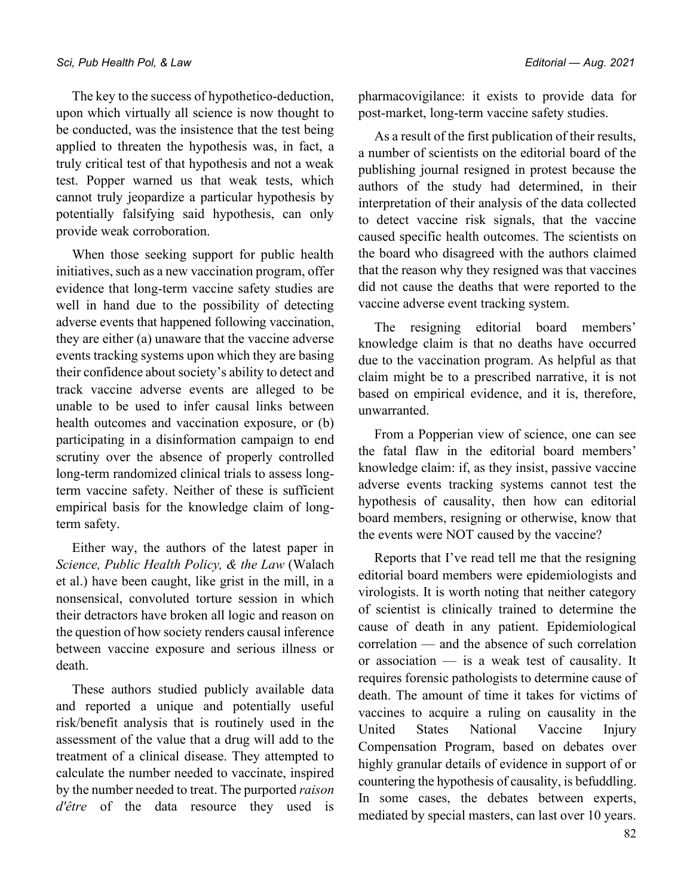The key to the success of hypothetico-deduction, upon which virtually all science is now thought to be conducted, was the insistence that the test being applied to threaten the hypothesis was, in fact, a truly critical test of that hypothesis and not a weak test. Popper warned us that weak tests, which cannot truly jeopardize a particular hypothesis by potentially falsifying said hypothesis, can only provide weak corroboration.

When those seeking support for public health initiatives, such as a new vaccination program, offer evidence that long-term vaccine safety studies are well in hand due to the possibility of detecting adverse events that happened following vaccination, they are either (a) unaware that the vaccine adverse events tracking systems upon which they are basing their confidence about society's ability to detect and track vaccine adverse events are alleged to be unable to be used to infer causal links between health outcomes and vaccination exposure, or (b) participating in a disinformation campaign to end scrutiny over the absence of properly controlled long-term randomized clinical trials to assess longterm vaccine safety. Neither of these is sufficient empirical basis for the knowledge claim of longterm safety.

Either way, the authors of the latest paper in *Science, Public Health Policy, & the Law* (Walach et al.) have been caught, like grist in the mill, in a nonsensical, convoluted torture session in which their detractors have broken all logic and reason on the question of how society renders causal inference between vaccine exposure and serious illness or death.

These authors studied publicly available data and reported a unique and potentially useful risk/benefit analysis that is routinely used in the assessment of the value that a drug will add to the treatment of a clinical disease. They attempted to calculate the number needed to vaccinate, inspired by the number needed to treat. The purported *raison d'être* of the data resource they used is pharmacovigilance: it exists to provide data for post-market, long-term vaccine safety studies.

As a result of the first publication of their results, a number of scientists on the editorial board of the publishing journal resigned in protest because the authors of the study had determined, in their interpretation of their analysis of the data collected to detect vaccine risk signals, that the vaccine caused specific health outcomes. The scientists on the board who disagreed with the authors claimed that the reason why they resigned was that vaccines did not cause the deaths that were reported to the vaccine adverse event tracking system.

The resigning editorial board members' knowledge claim is that no deaths have occurred due to the vaccination program. As helpful as that claim might be to a prescribed narrative, it is not based on empirical evidence, and it is, therefore, unwarranted.

From a Popperian view of science, one can see the fatal flaw in the editorial board members' knowledge claim: if, as they insist, passive vaccine adverse events tracking systems cannot test the hypothesis of causality, then how can editorial board members, resigning or otherwise, know that the events were NOT caused by the vaccine?

Reports that I've read tell me that the resigning editorial board members were epidemiologists and virologists. It is worth noting that neither category of scientist is clinically trained to determine the cause of death in any patient. Epidemiological correlation — and the absence of such correlation or association — is a weak test of causality. It requires forensic pathologists to determine cause of death. The amount of time it takes for victims of vaccines to acquire a ruling on causality in the United States National Vaccine Injury Compensation Program, based on debates over highly granular details of evidence in support of or countering the hypothesis of causality, is befuddling. In some cases, the debates between experts, mediated by special masters, can last over 10 years.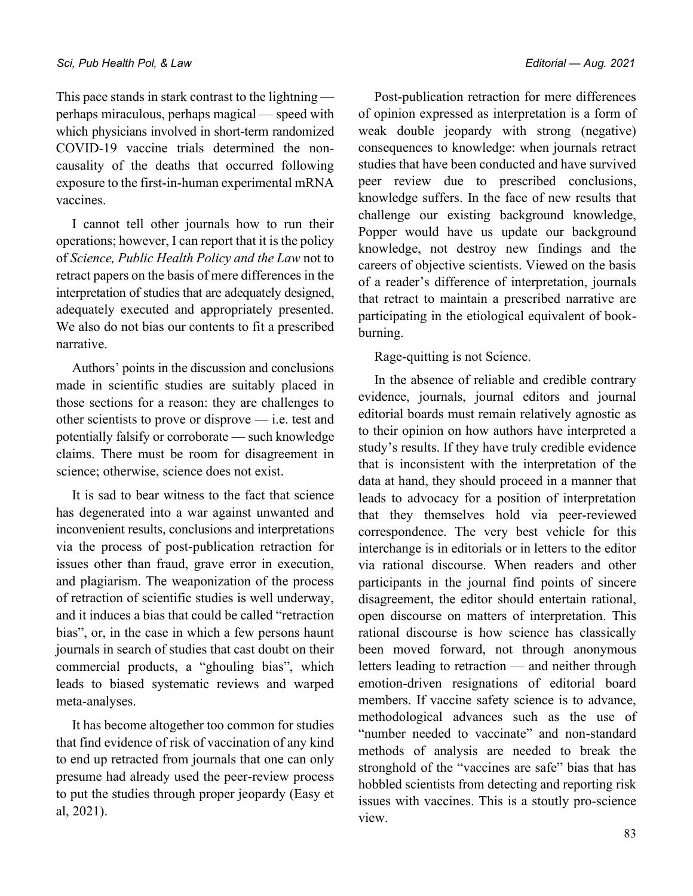This pace stands in stark contrast to the lightning perhaps miraculous, perhaps magical — speed with which physicians involved in short-term randomized COVID-19 vaccine trials determined the noncausality of the deaths that occurred following exposure to the first-in-human experimental mRNA vaccines.

I cannot tell other journals how to run their operations; however, I can report that it is the policy of *Science, Public Health Policy and the Law* not to retract papers on the basis of mere differences in the interpretation of studies that are adequately designed, adequately executed and appropriately presented. We also do not bias our contents to fit a prescribed narrative.

Authors' points in the discussion and conclusions made in scientific studies are suitably placed in those sections for a reason: they are challenges to other scientists to prove or disprove — i.e. test and potentially falsify or corroborate — such knowledge claims. There must be room for disagreement in science; otherwise, science does not exist.

It is sad to bear witness to the fact that science has degenerated into a war against unwanted and inconvenient results, conclusions and interpretations via the process of post-publication retraction for issues other than fraud, grave error in execution, and plagiarism. The weaponization of the process of retraction of scientific studies is well underway, and it induces a bias that could be called "retraction bias", or, in the case in which a few persons haunt journals in search of studies that cast doubt on their commercial products, a "ghouling bias", which leads to biased systematic reviews and warped meta-analyses.

It has become altogether too common for studies that find evidence of risk of vaccination of any kind to end up retracted from journals that one can only presume had already used the peer-review process to put the studies through proper jeopardy (Easy et al, 2021).

Post-publication retraction for mere differences of opinion expressed as interpretation is a form of weak double jeopardy with strong (negative) consequences to knowledge: when journals retract studies that have been conducted and have survived peer review due to prescribed conclusions, knowledge suffers. In the face of new results that challenge our existing background knowledge, Popper would have us update our background knowledge, not destroy new findings and the careers of objective scientists. Viewed on the basis of a reader's difference of interpretation, journals that retract to maintain a prescribed narrative are participating in the etiological equivalent of bookburning.

Rage-quitting is not Science.

In the absence of reliable and credible contrary evidence, journals, journal editors and journal editorial boards must remain relatively agnostic as to their opinion on how authors have interpreted a study's results. If they have truly credible evidence that is inconsistent with the interpretation of the data at hand, they should proceed in a manner that leads to advocacy for a position of interpretation that they themselves hold via peer-reviewed correspondence. The very best vehicle for this interchange is in editorials or in letters to the editor via rational discourse. When readers and other participants in the journal find points of sincere disagreement, the editor should entertain rational, open discourse on matters of interpretation. This rational discourse is how science has classically been moved forward, not through anonymous letters leading to retraction — and neither through emotion-driven resignations of editorial board members. If vaccine safety science is to advance, methodological advances such as the use of "number needed to vaccinate" and non-standard methods of analysis are needed to break the stronghold of the "vaccines are safe" bias that has hobbled scientists from detecting and reporting risk issues with vaccines. This is a stoutly pro-science view.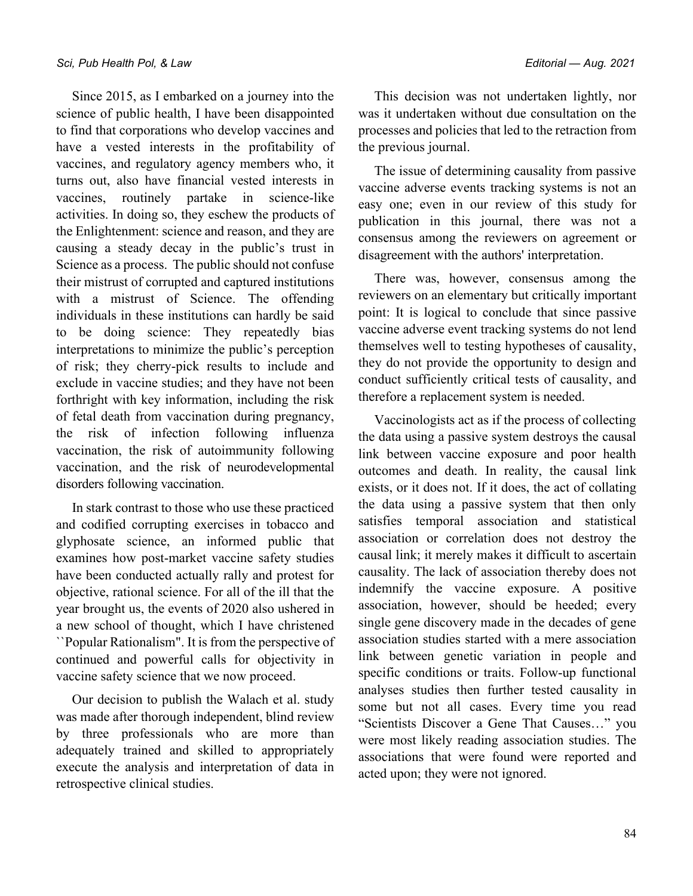Since 2015, as I embarked on a journey into the science of public health, I have been disappointed to find that corporations who develop vaccines and have a vested interests in the profitability of vaccines, and regulatory agency members who, it turns out, also have financial vested interests in vaccines, routinely partake in science-like activities. In doing so, they eschew the products of the Enlightenment: science and reason, and they are causing a steady decay in the public's trust in Science as a process. The public should not confuse their mistrust of corrupted and captured institutions with a mistrust of Science. The offending individuals in these institutions can hardly be said to be doing science: They repeatedly bias interpretations to minimize the public's perception of risk; they cherry-pick results to include and exclude in vaccine studies; and they have not been forthright with key information, including the risk of fetal death from vaccination during pregnancy, the risk of infection following influenza vaccination, the risk of autoimmunity following vaccination, and the risk of neurodevelopmental disorders following vaccination.

In stark contrast to those who use these practiced and codified corrupting exercises in tobacco and glyphosate science, an informed public that examines how post-market vaccine safety studies have been conducted actually rally and protest for objective, rational science. For all of the ill that the year brought us, the events of 2020 also ushered in a new school of thought, which I have christened ``Popular Rationalism". It is from the perspective of continued and powerful calls for objectivity in vaccine safety science that we now proceed.

Our decision to publish the Walach et al. study was made after thorough independent, blind review by three professionals who are more than adequately trained and skilled to appropriately execute the analysis and interpretation of data in retrospective clinical studies.

This decision was not undertaken lightly, nor was it undertaken without due consultation on the processes and policies that led to the retraction from the previous journal.

The issue of determining causality from passive vaccine adverse events tracking systems is not an easy one; even in our review of this study for publication in this journal, there was not a consensus among the reviewers on agreement or disagreement with the authors' interpretation.

There was, however, consensus among the reviewers on an elementary but critically important point: It is logical to conclude that since passive vaccine adverse event tracking systems do not lend themselves well to testing hypotheses of causality, they do not provide the opportunity to design and conduct sufficiently critical tests of causality, and therefore a replacement system is needed.

Vaccinologists act as if the process of collecting the data using a passive system destroys the causal link between vaccine exposure and poor health outcomes and death. In reality, the causal link exists, or it does not. If it does, the act of collating the data using a passive system that then only satisfies temporal association and statistical association or correlation does not destroy the causal link; it merely makes it difficult to ascertain causality. The lack of association thereby does not indemnify the vaccine exposure. A positive association, however, should be heeded; every single gene discovery made in the decades of gene association studies started with a mere association link between genetic variation in people and specific conditions or traits. Follow-up functional analyses studies then further tested causality in some but not all cases. Every time you read "Scientists Discover a Gene That Causes…" you were most likely reading association studies. The associations that were found were reported and acted upon; they were not ignored.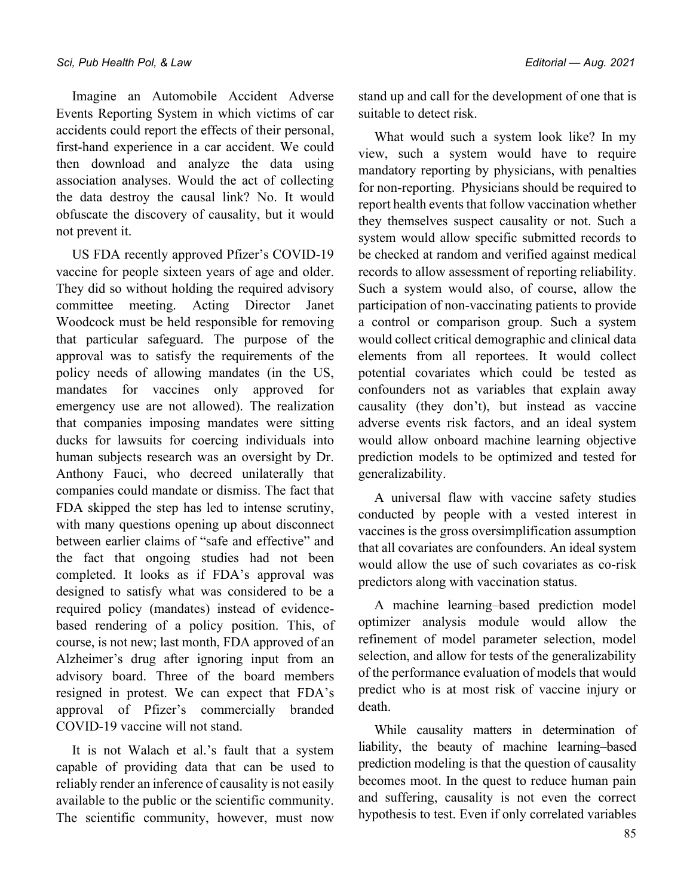Imagine an Automobile Accident Adverse Events Reporting System in which victims of car accidents could report the effects of their personal, first-hand experience in a car accident. We could then download and analyze the data using association analyses. Would the act of collecting the data destroy the causal link? No. It would obfuscate the discovery of causality, but it would not prevent it.

US FDA recently approved Pfizer's COVID-19 vaccine for people sixteen years of age and older. They did so without holding the required advisory committee meeting. Acting Director Janet Woodcock must be held responsible for removing that particular safeguard. The purpose of the approval was to satisfy the requirements of the policy needs of allowing mandates (in the US, mandates for vaccines only approved for emergency use are not allowed). The realization that companies imposing mandates were sitting ducks for lawsuits for coercing individuals into human subjects research was an oversight by Dr. Anthony Fauci, who decreed unilaterally that companies could mandate or dismiss. The fact that FDA skipped the step has led to intense scrutiny, with many questions opening up about disconnect between earlier claims of "safe and effective" and the fact that ongoing studies had not been completed. It looks as if FDA's approval was designed to satisfy what was considered to be a required policy (mandates) instead of evidencebased rendering of a policy position. This, of course, is not new; last month, FDA approved of an Alzheimer's drug after ignoring input from an advisory board. Three of the board members resigned in protest. We can expect that FDA's approval of Pfizer's commercially branded COVID-19 vaccine will not stand.

It is not Walach et al.'s fault that a system capable of providing data that can be used to reliably render an inference of causality is not easily available to the public or the scientific community. The scientific community, however, must now stand up and call for the development of one that is suitable to detect risk.

What would such a system look like? In my view, such a system would have to require mandatory reporting by physicians, with penalties for non-reporting. Physicians should be required to report health events that follow vaccination whether they themselves suspect causality or not. Such a system would allow specific submitted records to be checked at random and verified against medical records to allow assessment of reporting reliability. Such a system would also, of course, allow the participation of non-vaccinating patients to provide a control or comparison group. Such a system would collect critical demographic and clinical data elements from all reportees. It would collect potential covariates which could be tested as confounders not as variables that explain away causality (they don't), but instead as vaccine adverse events risk factors, and an ideal system would allow onboard machine learning objective prediction models to be optimized and tested for generalizability.

A universal flaw with vaccine safety studies conducted by people with a vested interest in vaccines is the gross oversimplification assumption that all covariates are confounders. An ideal system would allow the use of such covariates as co-risk predictors along with vaccination status.

A machine learning–based prediction model optimizer analysis module would allow the refinement of model parameter selection, model selection, and allow for tests of the generalizability of the performance evaluation of models that would predict who is at most risk of vaccine injury or death.

While causality matters in determination of liability, the beauty of machine learning–based prediction modeling is that the question of causality becomes moot. In the quest to reduce human pain and suffering, causality is not even the correct hypothesis to test. Even if only correlated variables